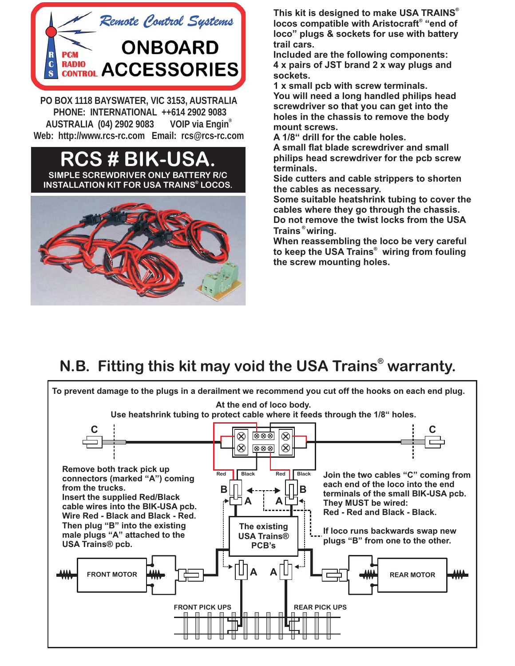

**PO BOX 1118 BAYSWATER, VIC 3153, AUSTRALIA AUSTRALIA (04) 2902 9083 VOIP via Engin**® Web: http://www.rcs-rc.com Email: rcs@rcs-rc.com **Web: http://www.rcs-rc.com Email: rcs@rcs-rc.com**

## **RCS # BIK-USA. SIMPLE SCREWDRIVER ONLY BATTERY R/C INSTALLATION KIT FOR USA TRAINS® LOCOS.**



**This kit is designed to make USA TRAINS ®** locos compatible with Aristocraft® "end of **loco" plugs & sockets for use with battery trail cars.**

**Included are the following components: 4 x pairs of JST brand 2 x way plugs and sockets.**

**1 x small pcb with screw terminals. You will need a long handled philips head screwdriver so that you can get into the holes in the chassis to remove the body mount screws.**

**A 1/8" drill for the cable holes.**

**A small flat blade screwdriver and small philips head screwdriver for the pcb screw terminals.**

**Side cutters and cable strippers to shorten the cables as necessary.**

**Some suitable heatshrink tubing to cover the cables where they go through the chassis. Do not remove the twist locks from the USA Trains wiring. ®**

**When reassembling the loco be very careful** to keep the USA Trains<sup>®</sup> wiring from fouling **the screw mounting holes.**

## **N.B. Fitting this kit may void the USA Trains<sup>®</sup> warranty.**